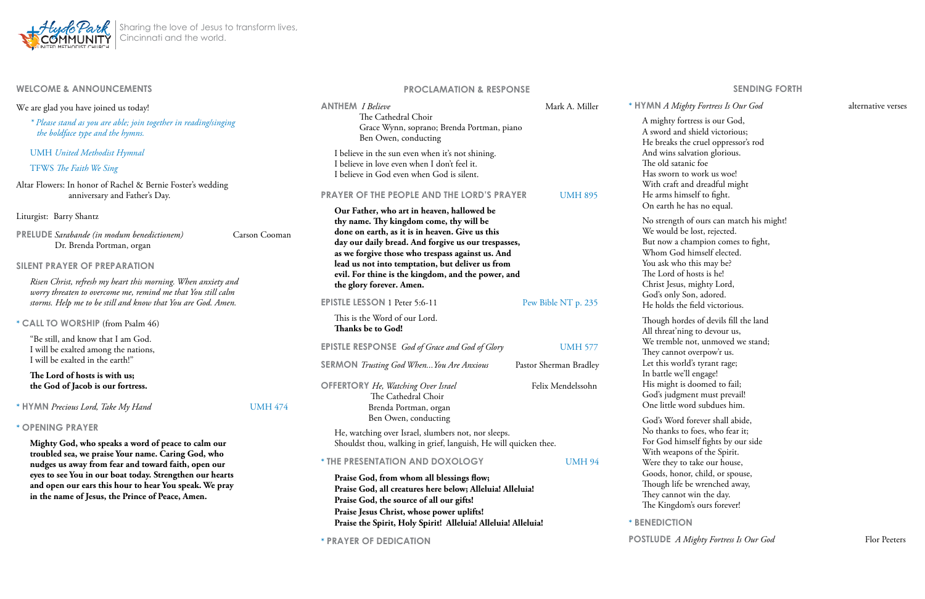# **WELCOME & ANNOUNCEMENTS**

We are glad you have joined us today!

*\* Please stand as you are able; join together in reading/singing the boldface type and the hymns.*

UMH *United Methodist Hymnal*

## TFWS *The Faith We Sing*

**PRELUDE** *Sarabande* (in modum benedictionem) Carson Cooman Dr. Brenda Portman, organ

# Altar Flowers: In honor of Rachel & Bernie Foster's wedding anniversary and Father's Day.

Liturgist:Barry Shantz

**SILENT PRAYER OF PREPARATION**

*Risen Christ, refresh my heart this morning. When anxiety and worry threaten to overcome me, remind me that You still calm storms. Help me to be still and know that You are God. Amen.* 

**\* CALL TO WORSHIP** (from Psalm 46)

"Be still, and know that I am God. I will be exalted among the nations, I will be exalted in the earth!"

**The Lord of hosts is with us; the God of Jacob is our fortress.** 

**\* HYMN** *Precious Lord, Take My Hand* UMH 474

#### **\* OPENING PRAYER**

**Mighty God, who speaks a word of peace to calm our troubled sea, we praise Your name. Caring God, who nudges us away from fear and toward faith, open our eyes to see You in our boat today. Strengthen our hearts and open our ears this hour to hear You speak. We pray in the name of Jesus, the Prince of Peace, Amen.** 

# **PROCLAMATION & RESPONSE**

| <b>ANTHEM</b> <i>I Believe</i>                                                                                                                                                                                                                                                                                                                                                                                                                                   | Mark A. Miller         | * HYMN A Mighty Fortress Is Of                                                                                                                                                                                                      |  |
|------------------------------------------------------------------------------------------------------------------------------------------------------------------------------------------------------------------------------------------------------------------------------------------------------------------------------------------------------------------------------------------------------------------------------------------------------------------|------------------------|-------------------------------------------------------------------------------------------------------------------------------------------------------------------------------------------------------------------------------------|--|
| The Cathedral Choir<br>Grace Wynn, soprano; Brenda Portman, piano<br>Ben Owen, conducting                                                                                                                                                                                                                                                                                                                                                                        |                        | A mighty fortress is our Goo<br>A sword and shield victoriou<br>He breaks the cruel oppresse                                                                                                                                        |  |
| I believe in the sun even when it's not shining.<br>I believe in love even when I don't feel it.<br>I believe in God even when God is silent.                                                                                                                                                                                                                                                                                                                    |                        | And wins salvation glorious.<br>The old satanic foe<br>Has sworn to work us woe!                                                                                                                                                    |  |
| <b>PRAYER OF THE PEOPLE AND THE LORD'S PRAYER</b><br><b>UMH 895</b><br>Our Father, who art in heaven, hallowed be<br>thy name. Thy kingdom come, thy will be<br>done on earth, as it is in heaven. Give us this<br>day our daily bread. And forgive us our trespasses,<br>as we forgive those who trespass against us. And<br>lead us not into temptation, but deliver us from<br>evil. For thine is the kingdom, and the power, and<br>the glory forever. Amen. |                        | With craft and dreadful mig<br>He arms himself to fight.<br>On earth he has no equal.                                                                                                                                               |  |
|                                                                                                                                                                                                                                                                                                                                                                                                                                                                  |                        | No strength of ours can mat<br>We would be lost, rejected.<br>But now a champion comes<br>Whom God himself elected<br>You ask who this may be?<br>The Lord of hosts is he!<br>Christ Jesus, mighty Lord,<br>God's only Son, adored. |  |
| <b>EPISTLE LESSON 1 Peter 5:6-11</b>                                                                                                                                                                                                                                                                                                                                                                                                                             | Pew Bible NT p. 235    | He holds the field victorious                                                                                                                                                                                                       |  |
| This is the Word of our Lord.<br>Thanks be to God!                                                                                                                                                                                                                                                                                                                                                                                                               |                        | Though hordes of devils fill<br>All threat'ning to devour us,                                                                                                                                                                       |  |
| <b>EPISTLE RESPONSE</b> God of Grace and God of Glory                                                                                                                                                                                                                                                                                                                                                                                                            | <b>UMH 577</b>         | We tremble not, unmoved v<br>They cannot overpow'r us.<br>Let this world's tyrant rage;<br>In battle we'll engage!                                                                                                                  |  |
| <b>SERMON</b> Trusting God When You Are Anxious                                                                                                                                                                                                                                                                                                                                                                                                                  | Pastor Sherman Bradley |                                                                                                                                                                                                                                     |  |
| <b>OFFERTORY</b> He, Watching Over Israel<br>The Cathedral Choir<br>Brenda Portman, organ                                                                                                                                                                                                                                                                                                                                                                        | Felix Mendelssohn      | His might is doomed to fail<br>God's judgment must preval<br>One little word subdues hin                                                                                                                                            |  |
| Ben Owen, conducting                                                                                                                                                                                                                                                                                                                                                                                                                                             |                        | God's Word forever shall abi                                                                                                                                                                                                        |  |
| He, watching over Israel, slumbers not, nor sleeps.<br>Shouldst thou, walking in grief, languish, He will quicken thee.                                                                                                                                                                                                                                                                                                                                          |                        | No thanks to foes, who fear<br>For God himself fights by of<br>With weapons of the Spirit.                                                                                                                                          |  |
| * THE PRESENTATION AND DOXOLOGY                                                                                                                                                                                                                                                                                                                                                                                                                                  | <b>UMH 94</b>          | Were they to take our house                                                                                                                                                                                                         |  |
| Praise God, from whom all blessings flow;<br>Praise God, all creatures here below; Alleluia! Alleluia!<br>Praise God, the source of all our gifts!<br>Praise Jesus Christ, whose power uplifts!                                                                                                                                                                                                                                                                  |                        | Goods, honor, child, or spo<br>Though life be wrenched aw<br>They cannot win the day.<br>The Kingdom's ours forever!                                                                                                                |  |

**Praise the Spirit, Holy Spirit! Alleluia! Alleluia! Alleluia!**

**\* PRAYER OF DEDICATION** 



#### **SENDING FORTH**

#### *A Fortress Is Our God* **alternative verses**

rtress is our God, shield victorious; he cruel oppressor's rod lvation glorious. nic foe o work us woe! nd dreadful might nself to fight. e has no equal. of ours can match his might! e lost, rejected. hampion comes to fight, l himself elected. this may be? hosts is he! mighty Lord, Son, adored. e field victorious. des of devils fill the land ng to devour us, not, unmoved we stand; overpow'r us. ld's tyrant rage; 'll engage! doomed to fail; nent must prevail! ord subdues him. forever shall abide, o foes, who fear it; mself fights by our side ons of the Spirit. o take our house. or, child, or spouse, be wrenched away,

**\* BENEDICTION**

**POSTLUDE** *A Mighty Fortress Is Our God* Flor Peeters